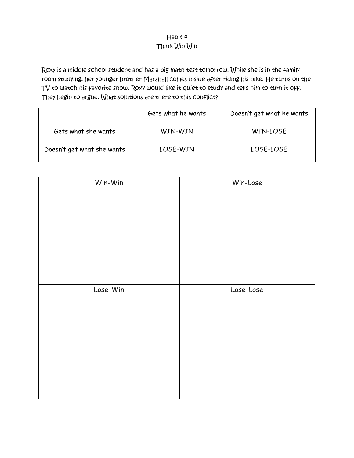## Habit 4 Think Win-Win

Roxy is a middle school student and has a big math test tomorrow. While she is in the family room studying, her younger brother Marshall comes inside after riding his bike. He turns on the TV to watch his favorite show. Roxy would like it quiet to study and tells him to turn it off. They begin to argue. What solutions are there to this conflict?

|                            | Gets what he wants | Doesn't get what he wants |
|----------------------------|--------------------|---------------------------|
| Gets what she wants        | WIN-WIN            | <b>WIN-LOSE</b>           |
| Doesn't get what she wants | LOSE-WIN           | LOSE-LOSE                 |

| $Win-Win$ | Win-Lose  |
|-----------|-----------|
|           |           |
|           |           |
|           |           |
|           |           |
|           |           |
|           |           |
|           |           |
|           |           |
|           |           |
|           |           |
| Lose-Win  | Lose-Lose |
|           |           |
|           |           |
|           |           |
|           |           |
|           |           |
|           |           |
|           |           |
|           |           |
|           |           |
|           |           |